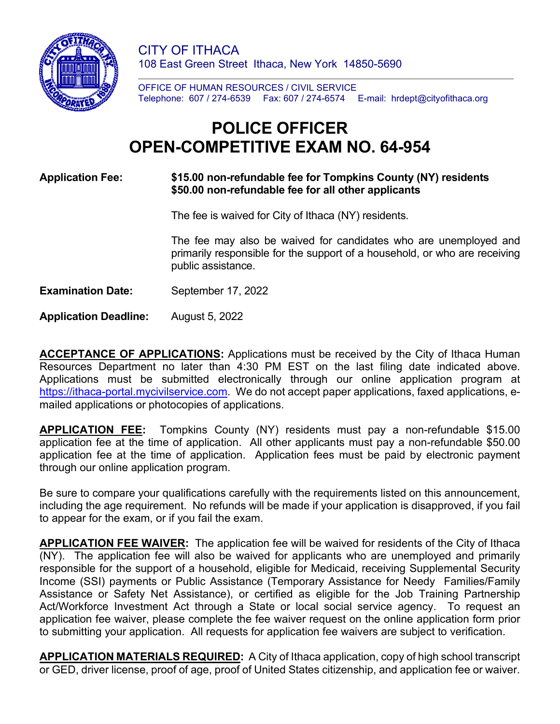

CITY OF ITHACA 108 East Green Street Ithaca, New York 14850-5690

OFFICE OF HUMAN RESOURCES / CIVIL SERVICE Telephone: 607 / 274-6539 Fax: 607 / 274-6574 E-mail: hrdept@cityofithaca.org

# **POLICE OFFICER OPEN-COMPETITIVE EXAM NO. 64-954**

#### **Application Fee: \$15.00 non-refundable fee for Tompkins County (NY) residents \$50.00 non-refundable fee for all other applicants**

The fee is waived for City of Ithaca (NY) residents.

The fee may also be waived for candidates who are unemployed and primarily responsible for the support of a household, or who are receiving public assistance.

**Examination Date:** September 17, 2022

**Application Deadline:** August 5, 2022

**ACCEPTANCE OF APPLICATIONS:** Applications must be received by the City of Ithaca Human Resources Department no later than 4:30 PM EST on the last filing date indicated above. Applications must be submitted electronically through our online application program at [https://ithaca-portal.mycivilservice.com.](https://ithaca-portal.mycivilservice.com/) We do not accept paper applications, faxed applications, emailed applications or photocopies of applications.

**APPLICATION FEE:** Tompkins County (NY) residents must pay a non-refundable \$15.00 application fee at the time of application. All other applicants must pay a non-refundable \$50.00 application fee at the time of application. Application fees must be paid by electronic payment through our online application program.

Be sure to compare your qualifications carefully with the requirements listed on this announcement, including the age requirement. No refunds will be made if your application is disapproved, if you fail to appear for the exam, or if you fail the exam.

**APPLICATION FEE WAIVER:** The application fee will be waived for residents of the City of Ithaca (NY). The application fee will also be waived for applicants who are unemployed and primarily responsible for the support of a household, eligible for Medicaid, receiving Supplemental Security Income (SSI) payments or Public Assistance (Temporary Assistance for Needy Families/Family Assistance or Safety Net Assistance), or certified as eligible for the Job Training Partnership Act/Workforce Investment Act through a State or local social service agency. To request an application fee waiver, please complete the fee waiver request on the online application form prior to submitting your application. All requests for application fee waivers are subject to verification.

**APPLICATION MATERIALS REQUIRED:** A City of Ithaca application, copy of high school transcript or GED, driver license, proof of age, proof of United States citizenship, and application fee or waiver.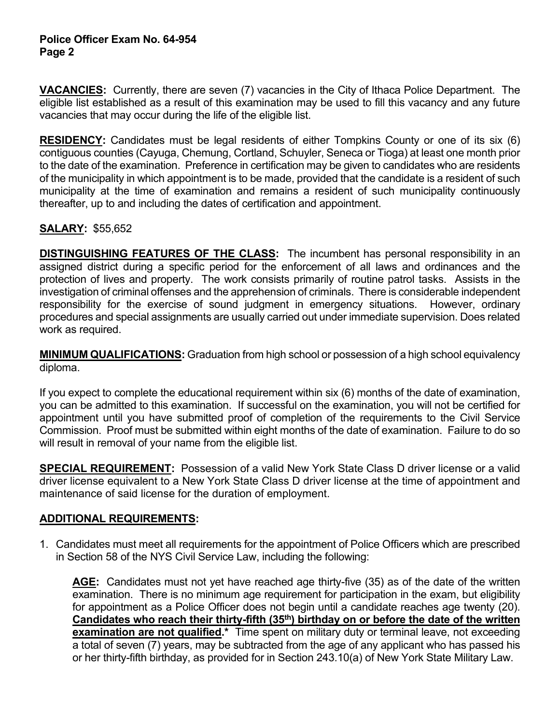#### **Police Officer Exam No. 64-954 Page 2**

**VACANCIES:** Currently, there are seven (7) vacancies in the City of Ithaca Police Department. The eligible list established as a result of this examination may be used to fill this vacancy and any future vacancies that may occur during the life of the eligible list.

**RESIDENCY:** Candidates must be legal residents of either Tompkins County or one of its six (6) contiguous counties (Cayuga, Chemung, Cortland, Schuyler, Seneca or Tioga) at least one month prior to the date of the examination. Preference in certification may be given to candidates who are residents of the municipality in which appointment is to be made, provided that the candidate is a resident of such municipality at the time of examination and remains a resident of such municipality continuously thereafter, up to and including the dates of certification and appointment.

# **SALARY:** \$55,652

**DISTINGUISHING FEATURES OF THE CLASS:** The incumbent has personal responsibility in an assigned district during a specific period for the enforcement of all laws and ordinances and the protection of lives and property. The work consists primarily of routine patrol tasks. Assists in the investigation of criminal offenses and the apprehension of criminals. There is considerable independent responsibility for the exercise of sound judgment in emergency situations. However, ordinary procedures and special assignments are usually carried out under immediate supervision. Does related work as required.

**MINIMUM QUALIFICATIONS:** Graduation from high school or possession of a high school equivalency diploma.

If you expect to complete the educational requirement within six (6) months of the date of examination, you can be admitted to this examination. If successful on the examination, you will not be certified for appointment until you have submitted proof of completion of the requirements to the Civil Service Commission. Proof must be submitted within eight months of the date of examination. Failure to do so will result in removal of your name from the eligible list.

**SPECIAL REQUIREMENT:** Possession of a valid New York State Class D driver license or a valid driver license equivalent to a New York State Class D driver license at the time of appointment and maintenance of said license for the duration of employment.

# **ADDITIONAL REQUIREMENTS:**

1. Candidates must meet all requirements for the appointment of Police Officers which are prescribed in Section 58 of the NYS Civil Service Law, including the following:

**AGE:** Candidates must not yet have reached age thirty-five (35) as of the date of the written examination. There is no minimum age requirement for participation in the exam, but eligibility for appointment as a Police Officer does not begin until a candidate reaches age twenty (20). Candidates who reach their thirty-fifth (35<sup>th</sup>) birthday on or before the date of the written **examination are not qualified.\*** Time spent on military duty or terminal leave, not exceeding a total of seven (7) years, may be subtracted from the age of any applicant who has passed his or her thirty-fifth birthday, as provided for in Section 243.10(a) of New York State Military Law.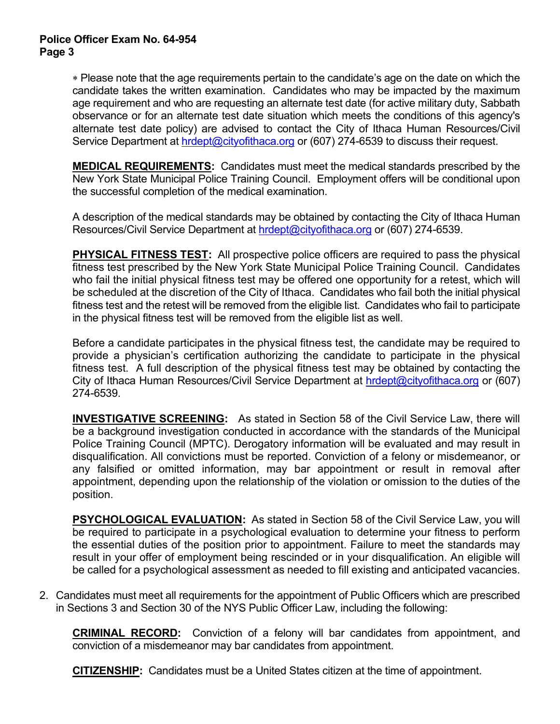∗ Please note that the age requirements pertain to the candidate's age on the date on which the candidate takes the written examination. Candidates who may be impacted by the maximum age requirement and who are requesting an alternate test date (for active military duty, Sabbath observance or for an alternate test date situation which meets the conditions of this agency's alternate test date policy) are advised to contact the City of Ithaca Human Resources/Civil Service Department at [hrdept@cityofithaca.org](mailto:hrdept@cityofithaca.org) or (607) 274-6539 to discuss their request.

**MEDICAL REQUIREMENTS:** Candidates must meet the medical standards prescribed by the New York State Municipal Police Training Council. Employment offers will be conditional upon the successful completion of the medical examination.

A description of the medical standards may be obtained by contacting the City of Ithaca Human Resources/Civil Service Department at [hrdept@cityofithaca.org](mailto:hrdept@cityofithaca.org) or (607) 274-6539.

**PHYSICAL FITNESS TEST:** All prospective police officers are required to pass the physical fitness test prescribed by the New York State Municipal Police Training Council. Candidates who fail the initial physical fitness test may be offered one opportunity for a retest, which will be scheduled at the discretion of the City of Ithaca. Candidates who fail both the initial physical fitness test and the retest will be removed from the eligible list. Candidates who fail to participate in the physical fitness test will be removed from the eligible list as well.

Before a candidate participates in the physical fitness test, the candidate may be required to provide a physician's certification authorizing the candidate to participate in the physical fitness test. A full description of the physical fitness test may be obtained by contacting the City of Ithaca Human Resources/Civil Service Department at **hrdept@cityofithaca.org** or (607) 274-6539.

**INVESTIGATIVE SCREENING:** As stated in Section 58 of the Civil Service Law, there will be a background investigation conducted in accordance with the standards of the Municipal Police Training Council (MPTC). Derogatory information will be evaluated and may result in disqualification. All convictions must be reported. Conviction of a felony or misdemeanor, or any falsified or omitted information, may bar appointment or result in removal after appointment, depending upon the relationship of the violation or omission to the duties of the position.

**PSYCHOLOGICAL EVALUATION:** As stated in Section 58 of the Civil Service Law, you will be required to participate in a psychological evaluation to determine your fitness to perform the essential duties of the position prior to appointment. Failure to meet the standards may result in your offer of employment being rescinded or in your disqualification. An eligible will be called for a psychological assessment as needed to fill existing and anticipated vacancies.

2. Candidates must meet all requirements for the appointment of Public Officers which are prescribed in Sections 3 and Section 30 of the NYS Public Officer Law, including the following:

**CRIMINAL RECORD:** Conviction of a felony will bar candidates from appointment, and conviction of a misdemeanor may bar candidates from appointment.

**CITIZENSHIP:** Candidates must be a United States citizen at the time of appointment.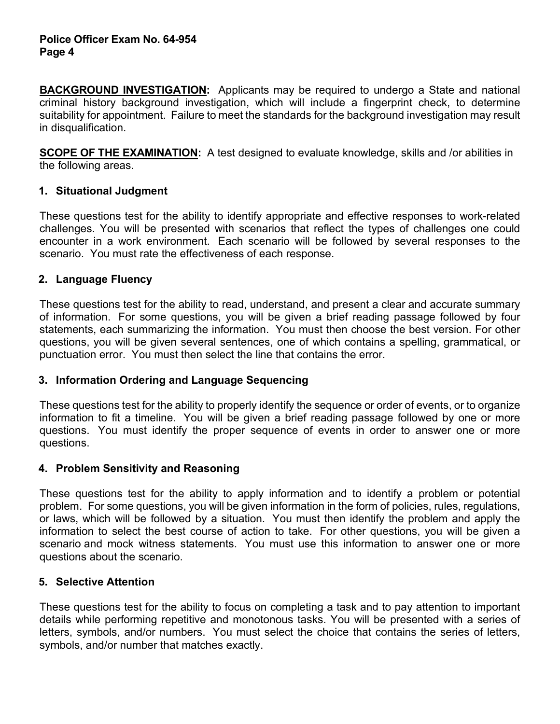**BACKGROUND INVESTIGATION:** Applicants may be required to undergo a State and national criminal history background investigation, which will include a fingerprint check, to determine suitability for appointment. Failure to meet the standards for the background investigation may result in disqualification.

**SCOPE OF THE EXAMINATION:** A test designed to evaluate knowledge, skills and /or abilities in the following areas.

#### **1. Situational Judgment**

These questions test for the ability to identify appropriate and effective responses to work-related challenges. You will be presented with scenarios that reflect the types of challenges one could encounter in a work environment. Each scenario will be followed by several responses to the scenario. You must rate the effectiveness of each response.

## **2. Language Fluency**

These questions test for the ability to read, understand, and present a clear and accurate summary of information. For some questions, you will be given a brief reading passage followed by four statements, each summarizing the information. You must then choose the best version. For other questions, you will be given several sentences, one of which contains a spelling, grammatical, or punctuation error. You must then select the line that contains the error.

# **3. Information Ordering and Language Sequencing**

These questions test for the ability to properly identify the sequence or order of events, or to organize information to fit a timeline. You will be given a brief reading passage followed by one or more questions. You must identify the proper sequence of events in order to answer one or more questions.

#### **4. Problem Sensitivity and Reasoning**

These questions test for the ability to apply information and to identify a problem or potential problem. For some questions, you will be given information in the form of policies, rules, regulations, or laws, which will be followed by a situation. You must then identify the problem and apply the information to select the best course of action to take. For other questions, you will be given a scenario and mock witness statements. You must use this information to answer one or more questions about the scenario.

#### **5. Selective Attention**

These questions test for the ability to focus on completing a task and to pay attention to important details while performing repetitive and monotonous tasks. You will be presented with a series of letters, symbols, and/or numbers. You must select the choice that contains the series of letters, symbols, and/or number that matches exactly.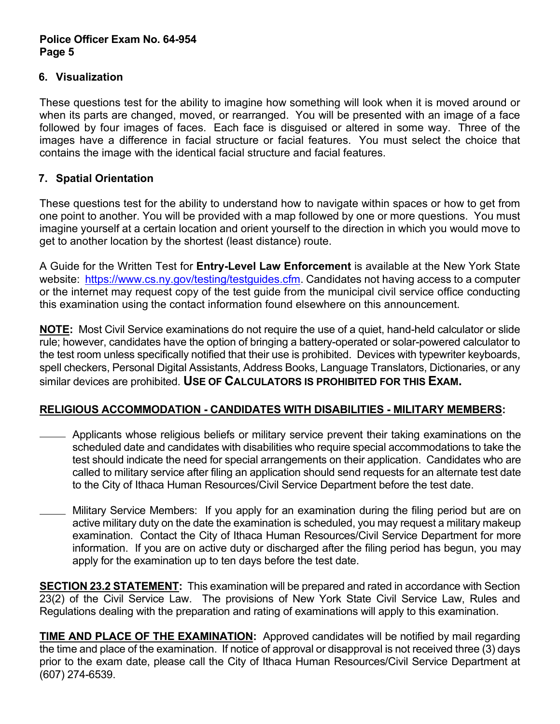#### **Police Officer Exam No. 64-954 Page 5**

## **6. Visualization**

These questions test for the ability to imagine how something will look when it is moved around or when its parts are changed, moved, or rearranged. You will be presented with an image of a face followed by four images of faces. Each face is disguised or altered in some way. Three of the images have a difference in facial structure or facial features. You must select the choice that contains the image with the identical facial structure and facial features.

## **7. Spatial Orientation**

These questions test for the ability to understand how to navigate within spaces or how to get from one point to another. You will be provided with a map followed by one or more questions. You must imagine yourself at a certain location and orient yourself to the direction in which you would move to get to another location by the shortest (least distance) route.

A Guide for the Written Test for **Entry-Level Law Enforcement** is available at the New York State website: [https://www.cs.ny.gov/testing/testguides.cfm.](https://www.cs.ny.gov/testing/testguides.cfm) Candidates not having access to a computer or the internet may request copy of the test guide from the municipal civil service office conducting this examination using the contact information found elsewhere on this announcement.

**NOTE:** Most Civil Service examinations do not require the use of a quiet, hand-held calculator or slide rule; however, candidates have the option of bringing a battery-operated or solar-powered calculator to the test room unless specifically notified that their use is prohibited. Devices with typewriter keyboards, spell checkers, Personal Digital Assistants, Address Books, Language Translators, Dictionaries, or any similar devices are prohibited. **USE OF CALCULATORS IS PROHIBITED FOR THIS EXAM.** 

# **RELIGIOUS ACCOMMODATION - CANDIDATES WITH DISABILITIES - MILITARY MEMBERS:**

- Applicants whose religious beliefs or military service prevent their taking examinations on the scheduled date and candidates with disabilities who require special accommodations to take the test should indicate the need for special arrangements on their application. Candidates who are called to military service after filing an application should send requests for an alternate test date to the City of Ithaca Human Resources/Civil Service Department before the test date.
- Military Service Members: If you apply for an examination during the filing period but are on active military duty on the date the examination is scheduled, you may request a military makeup examination. Contact the City of Ithaca Human Resources/Civil Service Department for more information. If you are on active duty or discharged after the filing period has begun, you may apply for the examination up to ten days before the test date.

**SECTION 23.2 STATEMENT:** This examination will be prepared and rated in accordance with Section 23(2) of the Civil Service Law. The provisions of New York State Civil Service Law, Rules and Regulations dealing with the preparation and rating of examinations will apply to this examination.

**TIME AND PLACE OF THE EXAMINATION:** Approved candidates will be notified by mail regarding the time and place of the examination. If notice of approval or disapproval is not received three (3) days prior to the exam date, please call the City of Ithaca Human Resources/Civil Service Department at (607) 274-6539.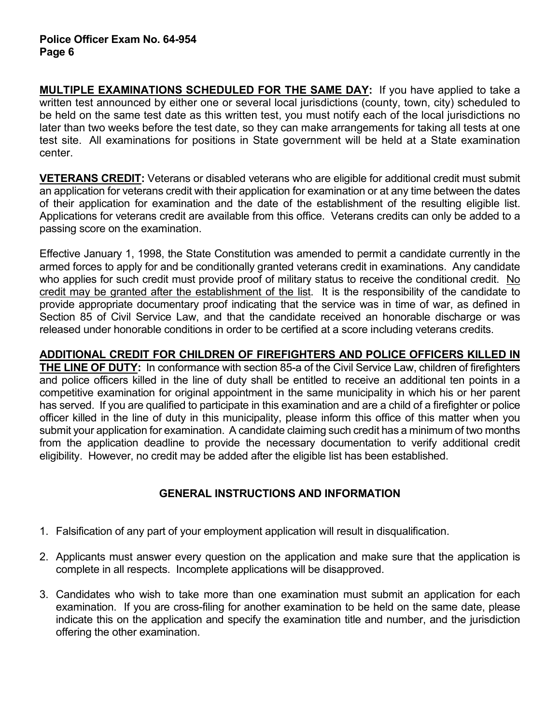**MULTIPLE EXAMINATIONS SCHEDULED FOR THE SAME DAY:** If you have applied to take a written test announced by either one or several local jurisdictions (county, town, city) scheduled to be held on the same test date as this written test, you must notify each of the local jurisdictions no later than two weeks before the test date, so they can make arrangements for taking all tests at one test site. All examinations for positions in State government will be held at a State examination center.

**VETERANS CREDIT:** Veterans or disabled veterans who are eligible for additional credit must submit an application for veterans credit with their application for examination or at any time between the dates of their application for examination and the date of the establishment of the resulting eligible list. Applications for veterans credit are available from this office. Veterans credits can only be added to a passing score on the examination.

Effective January 1, 1998, the State Constitution was amended to permit a candidate currently in the armed forces to apply for and be conditionally granted veterans credit in examinations. Any candidate who applies for such credit must provide proof of military status to receive the conditional credit. No credit may be granted after the establishment of the list. It is the responsibility of the candidate to provide appropriate documentary proof indicating that the service was in time of war, as defined in Section 85 of Civil Service Law, and that the candidate received an honorable discharge or was released under honorable conditions in order to be certified at a score including veterans credits.

**ADDITIONAL CREDIT FOR CHILDREN OF FIREFIGHTERS AND POLICE OFFICERS KILLED IN THE LINE OF DUTY:** In conformance with section 85-a of the Civil Service Law, children of firefighters and police officers killed in the line of duty shall be entitled to receive an additional ten points in a competitive examination for original appointment in the same municipality in which his or her parent has served. If you are qualified to participate in this examination and are a child of a firefighter or police officer killed in the line of duty in this municipality, please inform this office of this matter when you submit your application for examination. A candidate claiming such credit has a minimum of two months from the application deadline to provide the necessary documentation to verify additional credit eligibility. However, no credit may be added after the eligible list has been established.

# **GENERAL INSTRUCTIONS AND INFORMATION**

- 1. Falsification of any part of your employment application will result in disqualification.
- 2. Applicants must answer every question on the application and make sure that the application is complete in all respects. Incomplete applications will be disapproved.
- 3. Candidates who wish to take more than one examination must submit an application for each examination. If you are cross-filing for another examination to be held on the same date, please indicate this on the application and specify the examination title and number, and the jurisdiction offering the other examination.